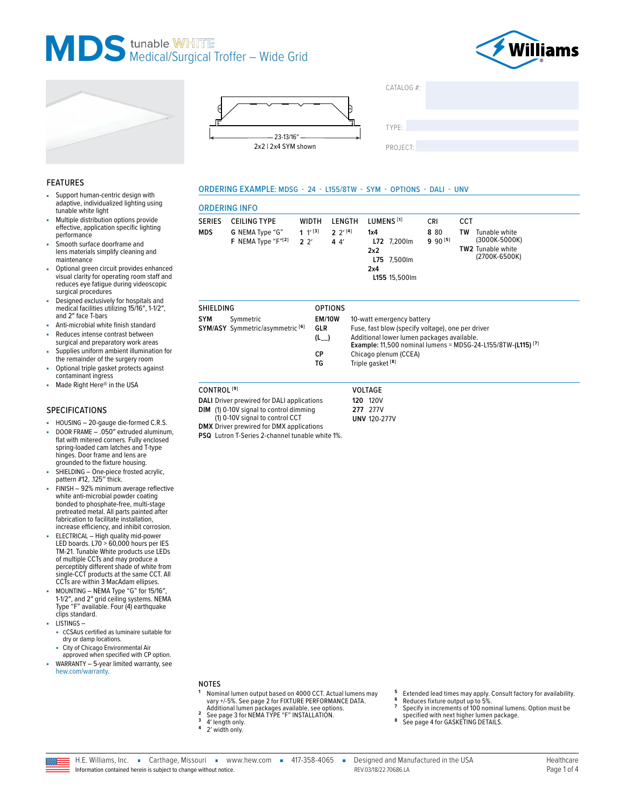







**ORDERING INFO** 

**CEILING TYPE** 

Symmetric

SYM/ASY Symmetric/asymmetric [6]

G NEMA Type "G"

F NEMA Type "F"[2]

**SERIES** 

**SHIELDING** 

**SYM** 

**MDS** 

| CATALOG #: |  |
|------------|--|
|            |  |
| TYPE:      |  |
|            |  |

CRI

8 8 0

 $990^{[5]}$ 

Example: 11,500 nominal lumens = MDSG-24-L155/8TW-(L115)<sup>[7]</sup>

CCT

**TW** 

Tunable white

TW2 Tunable white

(3000K-5000K)

(2700K-6500K)

PROJECT:

LUMENS<sup>[1]</sup>

L72 7,200lm

L75 7,500lm

L155 15,500lm

10-watt emergency battery

Chicago plenum (CCEA)

Triple gasket<sup>[8]</sup>

Fuse, fast blow (specify voltage), one per driver

Additional lower lumen packages available.

 $1x4$ 

 $2x2$ 

 $2x4$ 

#### **FEATURES**

- Sunnort human-centric design with adaptive, individualized lighting using tunable white light
- Multiple distribution options provide effective, application specific lighting performance
- Smooth surface doorframe and lens materials simplify cleaning and maintenance
- Optional green circuit provides enhanced visual clarity for operating room staff and<br>reduces eye fatigue during videoscopic surgical procedures
- Designed exclusively for hospitals and medical facilities utilizing 15/16", 1-1/2", and 2" face T-bars
- Anti-microbial white finish standard
- Reduces intense contrast between surgical and preparatory work areas
- Supplies uniform ambient illumination for the remainder of the surgery room
- Optional triple gasket protects against contaminant ingress
- Made Right Here® in the USA

### **SPECIFICATIONS**

- HOUSING 20-gauge die-formed C.R.S.
- DOOR FRAME .050" extruded aluminum, flat with mitered corners. Fully enclosed spring-loaded cam latches and T-type hinges. Door frame and lens are grounded to the fixture housing.
- SHIELDING One-piece frosted acrylic,<br>pattern #12, .125" thick.
- FINISH 92% minimum average reflective white anti-microbial powder coating bonded to phosphate-free, multi-stage pretreated metal. All parts painted after fabrication to facilitate installation. increase efficiency, and inhibit corrosion.
- ELECTRICAL High quality mid-power ELECTRICAL Truly daminy inter-power<br>TED boards. L70 > 60,000 hours per IES<br>TM-21. Tunable White products use LEDs<br>of multiple CCTs and may produce a<br>perceptibly different shade of white from single-CCT products at the same CCT. All CCTs are within 3 MacAdam ellipses.
- MOUNTING NEMA Type "G" for 15/16" 1-1/2", and 2" grid ceiling systems. NEMA Type "F" available. Four (4) earthquake clips standard.
- LISTINGS
	- cCSAus certified as luminaire suitable for dry or damp locations.
	- City of Chicago Environmental Air approved when specified with CP option.
- WARRANTY 5-year limited warranty, see hew.com/warranty.
- **NOTES**
- Nominal lumen output based on 4000 CCT. Actual lumens may vary +/-5%. See page 2 for FIXTURE PERFORMANCE DATA.
- Additional lumen packages available, see options.<br>See page 3 for NEMA TYPE "F" INSTALLATION.  $\overline{2}$ 3
- 4' length only.
- 2' width only
- Extended lead times may apply. Consult factory for availability.<br>Reduces fixture output up to 5%. 6
- 
- Specify in increments of 100 nominal lumens. Option must be specified with next higher lumen package.
- 8 See page 4 for GASKETING DETAILS.

| CONTROL <sup>[9]</sup>                            | <b>VOLTAGE</b>      |
|---------------------------------------------------|---------------------|
| <b>DALI</b> Driver prewired for DALI applications | <b>120 120V</b>     |
| <b>DIM</b> (1) 0-10V signal to control dimming    | 277 277V            |
| (1) 0-10V signal to control CCT                   | <b>UNV 120-277V</b> |

ORDERING EXAMPLE: MDSG - 24 - L155/8TW - SYM - OPTIONS - DALI - UNV

LENGTH

 $2 \frac{2^{1}[4]}{2}$ 

 $44'$ 

**OPTIONS** 

**EM/10W** 

GLR

 $(L_{--})$ 

 $CP$ 

**TG** 

**WIDTH** 

 $1 \t1^{[3]}$ 

 $2 \, 2'$ 

 $(1)$  0-10V **DMX** Driver prewired for DMX applications

PSQ Lutron T-Series 2-channel tunable white 1%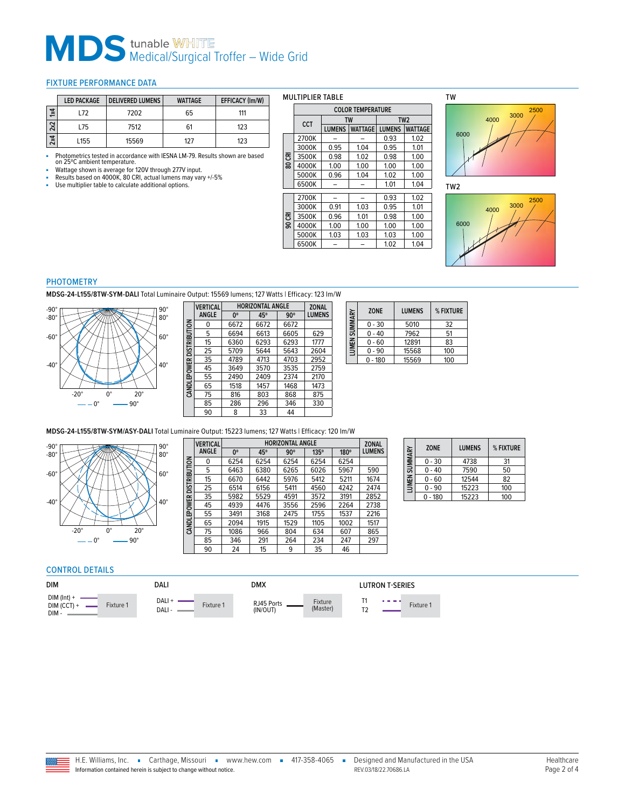# **MDS** tunable WHITE<br>Medical/Surgical Troffer – Wide Grid

#### <span id="page-1-0"></span>FIXTURE PERFORMANCE DATA

|                         | <b>LED PACKAGE</b> | <b>DELIVERED LUMENS</b> | <b>WATTAGE</b> | <b>EFFICACY (Im/W)</b> |
|-------------------------|--------------------|-------------------------|----------------|------------------------|
| $\overline{\mathbf{z}}$ | 172                | 7202                    | 65             | 111                    |
| 2x2                     | L75                | 7512                    | 61             | 123                    |
| 2x4                     | L <sub>155</sub>   | 15569                   | 127            | 123                    |

■ Photometrics tested in accordance with IESNA LM-79. Results shown are based on 25ºC ambient temperature.

■ Wattage shown is average for 120V through 277V input.<br>■ Results based on 4000K, 80 CRI, actual lumens may vary +/-5%<br>■ Use multiplier table to calculate additional options.

|           | <b>LULUR IEMPERAIURE</b> |               |                |               |                 |  |
|-----------|--------------------------|---------------|----------------|---------------|-----------------|--|
|           | <b>CCT</b>               |               | TW             |               | TW <sub>2</sub> |  |
|           |                          | <b>LUMENS</b> | <b>WATTAGE</b> | <b>LUMENS</b> | <b>WATTAGE</b>  |  |
|           | 2700K                    |               |                | 0.93          | 1.02            |  |
|           | 3000K                    | 0.95          | 1.04           | 0.95          | 1.01            |  |
| 80 CRI    | 3500K                    | 0.98          | 1.02           | 0.98          | 1.00            |  |
|           | 4000K                    | 1.00          | 1.00           | 1.00          | 1.00            |  |
|           | 5000K                    | 0.96          | 1.04           | 1.02          | 1.00            |  |
|           | 6500K                    |               |                | 1.01          | 1.04            |  |
|           | 2700K                    |               |                | 0.93          | 1.02            |  |
|           | 3000K                    | 0.91          | 1.03           | 0.95          | 1.01            |  |
| .<br>80 ල | 3500K                    | 0.96          | 1.01           | 0.98          | 1.00            |  |
|           | 4000K                    | 1.00          | 1.00           | 1.00          | 1.00            |  |
|           | 5000K                    | 1.03          | 1.03           | 1.03          | 1.00            |  |
|           | 6500K                    |               |                | 1.02          | 1.04            |  |

**COLOR TEMPERATURE**

MULTIPLIER TABLE

 $\Box$ 

TW



TW2



#### PHOTOMETRY

**MDSG-24-L155/8TW-SYM-DALI** Total Luminaire Output: 15569 lumens; 127 Watts | Efficacy: 123 lm/W



|                          | <b>VERTICAL</b> | <b>HORIZONTAL ANGLE</b> | <b>ZONAL</b> |            |               |
|--------------------------|-----------------|-------------------------|--------------|------------|---------------|
|                          | ANGLE           | 0°                      | 45°          | $90^\circ$ | <b>LUMENS</b> |
|                          | 0               | 6672                    | 6672         | 6672       |               |
|                          | 5               | 6694                    | 6613         | 6605       | 629           |
| CANDLEPOWER DISTRIBUTION | 15              | 6360                    | 6293         | 6293       | 1777          |
|                          | 25              | 5709                    | 5644         | 5643       | 2604          |
|                          | 35              | 4789                    | 4713         | 4703       | 2952          |
|                          | 45              | 3649                    | 3570         | 3535       | 2759          |
|                          | 55              | 2490                    | 2409         | 2374       | 2170          |
|                          | 65              | 1518                    | 1457         | 1468       | 1473          |
|                          | 75              | 816                     | 803          | 868        | 875           |
|                          | 85              | 286                     | 296          | 346        | 330           |
|                          | 90              | 8                       | 33           | 44         |               |

| LUMEN SUMMARY | <b>ZONE</b> | <b>LUMENS</b> | % FIXTURE |
|---------------|-------------|---------------|-----------|
|               | $0 - 30$    | 5010          | 32        |
|               | $0 - 40$    | 7962          | 51        |
|               | $0 - 60$    | 12891         | 83        |
|               | $0 - 90$    | 15568         | 100       |
|               | $0 - 180$   | 15569         | 100       |

#### **MDSG-24-L155/8TW-SYM/ASY-DALI** Total Luminaire Output: 15223 lumens; 127 Watts | Efficacy: 120 lm/W

**CINK** 



|                     | <b>VERTICAL</b> |             | <b>ZONAL</b> |            |             |             |               |
|---------------------|-----------------|-------------|--------------|------------|-------------|-------------|---------------|
|                     | <b>ANGLE</b>    | $0^{\circ}$ | 45°          | $90^\circ$ | $135^\circ$ | $180^\circ$ | <b>LUMENS</b> |
| <b>DISTRIBUTION</b> | 0               | 6254        | 6254         | 6254       | 6254        | 6254        |               |
|                     | 5               | 6463        | 6380         | 6265       | 6026        | 5967        | 590           |
|                     | 15              | 6670        | 6442         | 5976       | 5412        | 5211        | 1674          |
|                     | 25              | 6514        | 6156         | 5411       | 4560        | 4242        | 2474          |
|                     | 35              | 5982        | 5529         | 4591       | 3572        | 3191        | 2852          |
|                     | 45              | 4939        | 4476         | 3556       | 2596        | 2264        | 2738          |
| <b>CANDLEPOWER</b>  | 55              | 3491        | 3168         | 2475       | 1755        | 1537        | 2216          |
|                     | 65              | 2094        | 1915         | 1529       | 1105        | 1002        | 1517          |
|                     | 75              | 1086        | 966          | 804        | 634         | 607         | 865           |
|                     | 85              | 346         | 291          | 264        | 234         | 247         | 297           |
|                     | 90              | 24          | 15           | 9          | 35          | 46          |               |

| LUMEN SUMMARY | 70NF     | <b>LUMENS</b> | % FIXTURE |
|---------------|----------|---------------|-----------|
|               | $0 - 30$ | 4738          | 31        |
|               | $0 - 40$ | 7590          | 50        |
|               | $0 - 60$ | 12544         | 82        |
|               | $0 - 90$ | 15223         | 100       |
|               | $-180$   | 15223         | 100       |

## CONTROL DETAILS

| <b>DIM</b>                             |           | DALI            |           | <b>DMX</b>             |                     | LUTRON T-SERIES                    |           |
|----------------------------------------|-----------|-----------------|-----------|------------------------|---------------------|------------------------------------|-----------|
| $DIM (Int) +$<br>$DIM (CCT) +$<br>DIM- | Fixture 1 | DALI +<br>DALI- | Fixture 1 | RJ45 Ports<br>(IN/OUT) | Fixture<br>(Master) | <b><i><u>ALCOHOL: 2019</u></i></b> | Fixture 1 |

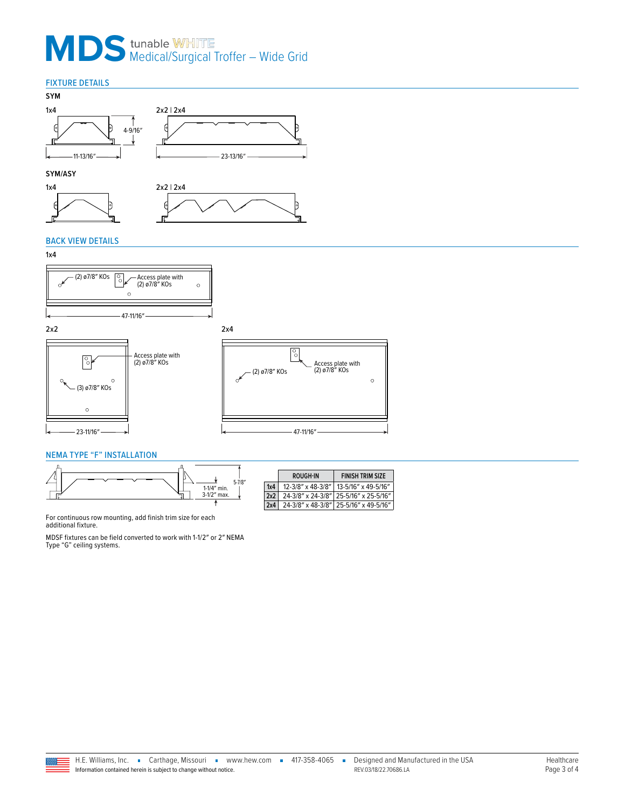## **MDS** tunable WHITE<br>Medical/Surgical Troffer – Wide Grid

## FIXTURE DETAILS







## BACK VIEW DETAILS

## 1x4











## <span id="page-2-0"></span>NEMA TYPE "F" INSTALLATION



|     | ROUGH-IN          | <b>FINISH TRIM SIZE</b>               |
|-----|-------------------|---------------------------------------|
| 1x4 | 12-3/8" x 48-3/8" | 13-5/16" x 49-5/16"                   |
| 2x2 | 24-3/8" x 24-3/8" | 25-5/16" x 25-5/16"                   |
| 2x4 |                   | 24-3/8" x 48-3/8" 25-5/16" x 49-5/16" |

For continuous row mounting, add finish trim size for each additional fixture.

MDSF fixtures can be field converted to work with 1-1/2″ or 2″ NEMA Type "G" ceiling systems.